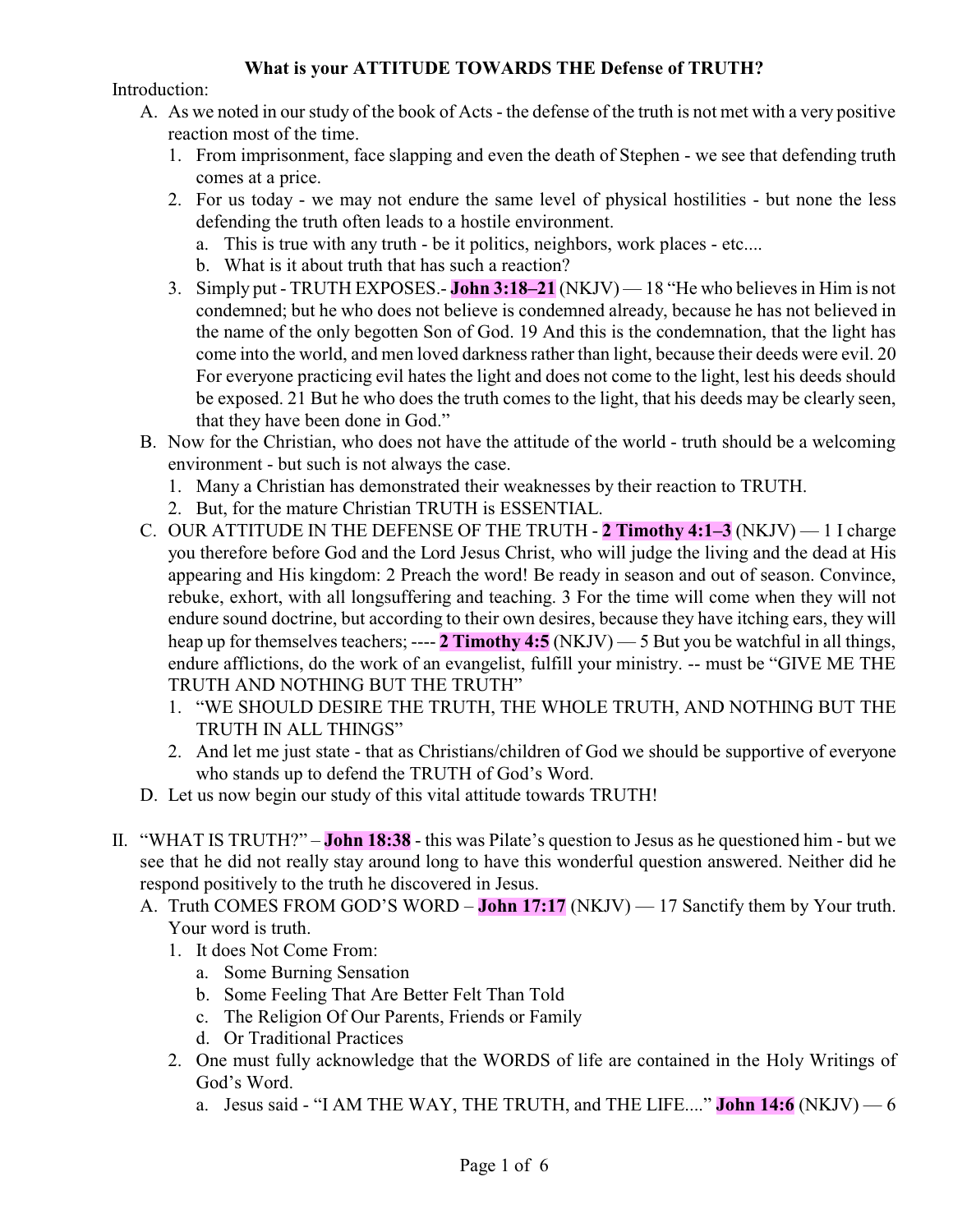## **What is your ATTITUDE TOWARDS THE Defense of TRUTH?**

Introduction:

- A. As we noted in our study of the book of Acts the defense of the truth is not met with a very positive reaction most of the time.
	- 1. From imprisonment, face slapping and even the death of Stephen we see that defending truth comes at a price.
	- 2. For us today we may not endure the same level of physical hostilities but none the less defending the truth often leads to a hostile environment.
		- a. This is true with any truth be it politics, neighbors, work places etc....
		- b. What is it about truth that has such a reaction?
	- 3. Simply put TRUTH EXPOSES.- **John 3:18–21** (NKJV) 18 "He who believes in Him is not condemned; but he who does not believe is condemned already, because he has not believed in the name of the only begotten Son of God. 19 And this is the condemnation, that the light has come into the world, and men loved darkness rather than light, because their deeds were evil. 20 For everyone practicing evil hates the light and does not come to the light, lest his deeds should be exposed. 21 But he who does the truth comes to the light, that his deeds may be clearly seen, that they have been done in God."
- B. Now for the Christian, who does not have the attitude of the world truth should be a welcoming environment - but such is not always the case.
	- 1. Many a Christian has demonstrated their weaknesses by their reaction to TRUTH.
	- 2. But, for the mature Christian TRUTH is ESSENTIAL.
- C. OUR ATTITUDE IN THE DEFENSE OF THE TRUTH **2 Timothy 4:1–3** (NKJV) 1 I charge you therefore before God and the Lord Jesus Christ, who will judge the living and the dead at His appearing and His kingdom: 2 Preach the word! Be ready in season and out of season. Convince, rebuke, exhort, with all longsuffering and teaching. 3 For the time will come when they will not endure sound doctrine, but according to their own desires, because they have itching ears, they will heap up for themselves teachers; ---- **2 Timothy 4:5** (NKJV) — 5 But you be watchful in all things, endure afflictions, do the work of an evangelist, fulfill your ministry. -- must be "GIVE ME THE TRUTH AND NOTHING BUT THE TRUTH"
	- 1. "WE SHOULD DESIRE THE TRUTH, THE WHOLE TRUTH, AND NOTHING BUT THE TRUTH IN ALL THINGS"
	- 2. And let me just state that as Christians/children of God we should be supportive of everyone who stands up to defend the TRUTH of God's Word.
- D. Let us now begin our study of this vital attitude towards TRUTH!
- II. "WHAT IS TRUTH?" **John 18:38** this was Pilate's question to Jesus as he questioned him but we see that he did not really stay around long to have this wonderful question answered. Neither did he respond positively to the truth he discovered in Jesus.
	- A. Truth COMES FROM GOD'S WORD **John 17:17** (NKJV) 17 Sanctify them by Your truth. Your word is truth.
		- 1. It does Not Come From:
			- a. Some Burning Sensation
			- b. Some Feeling That Are Better Felt Than Told
			- c. The Religion Of Our Parents, Friends or Family
			- d. Or Traditional Practices
		- 2. One must fully acknowledge that the WORDS of life are contained in the Holy Writings of God's Word.
			- a. Jesus said "I AM THE WAY, THE TRUTH, and THE LIFE...." **John 14:6** (NKJV) 6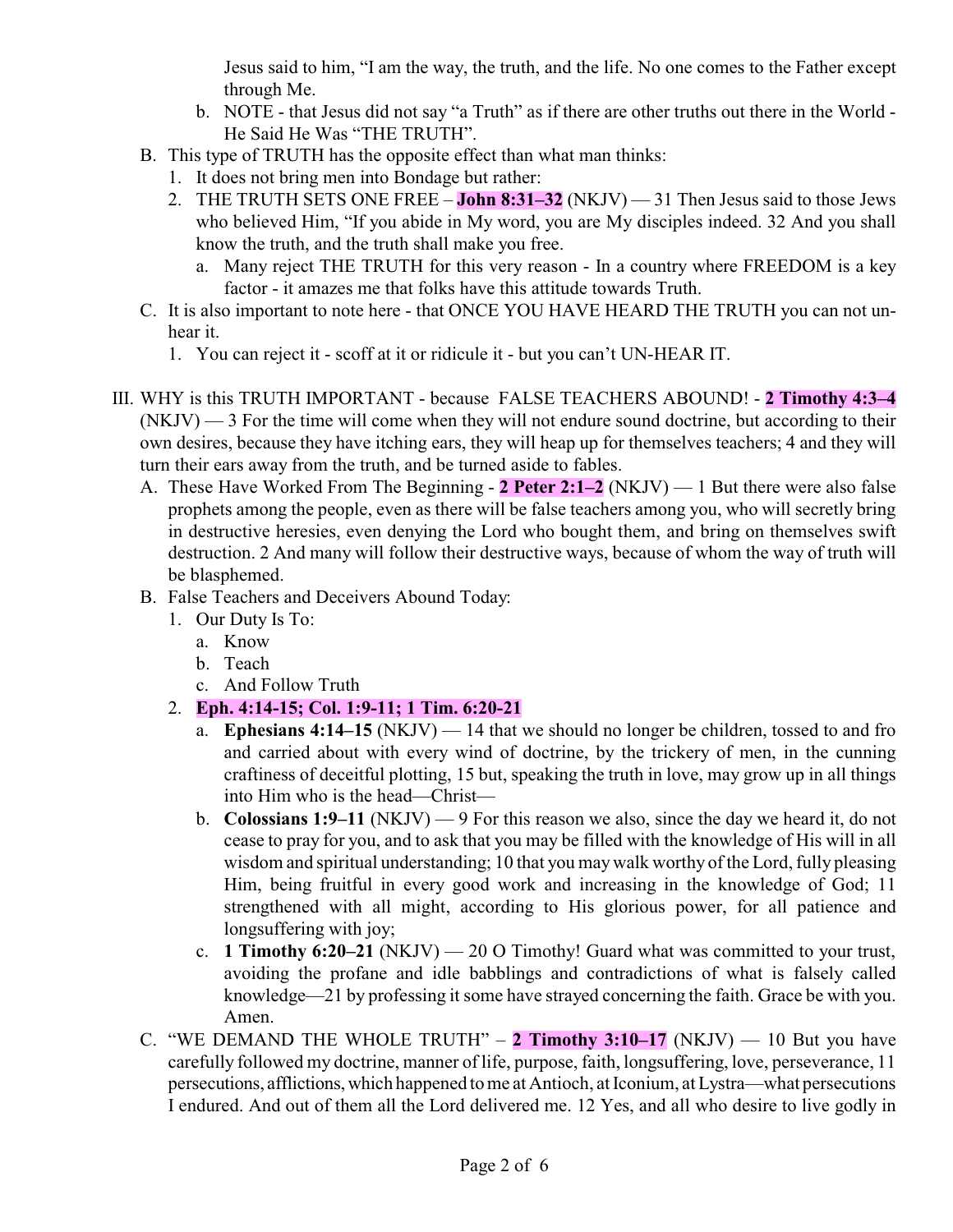Jesus said to him, "I am the way, the truth, and the life. No one comes to the Father except through Me.

- b. NOTE that Jesus did not say "a Truth" as if there are other truths out there in the World He Said He Was "THE TRUTH".
- B. This type of TRUTH has the opposite effect than what man thinks:
	- 1. It does not bring men into Bondage but rather:
	- 2. THE TRUTH SETS ONE FREE **John 8:31–32** (NKJV) 31 Then Jesus said to those Jews who believed Him, "If you abide in My word, you are My disciples indeed. 32 And you shall know the truth, and the truth shall make you free.
		- a. Many reject THE TRUTH for this very reason In a country where FREEDOM is a key factor - it amazes me that folks have this attitude towards Truth.
- C. It is also important to note here that ONCE YOU HAVE HEARD THE TRUTH you can not unhear it.
	- 1. You can reject it scoff at it or ridicule it but you can't UN-HEAR IT.
- III. WHY is this TRUTH IMPORTANT because FALSE TEACHERS ABOUND! **2 Timothy 4:3–4** (NKJV) — 3 For the time will come when they will not endure sound doctrine, but according to their own desires, because they have itching ears, they will heap up for themselves teachers; 4 and they will turn their ears away from the truth, and be turned aside to fables.
	- A. These Have Worked From The Beginning **2 Peter 2:1–2** (NKJV) 1 But there were also false prophets among the people, even as there will be false teachers among you, who will secretly bring in destructive heresies, even denying the Lord who bought them, and bring on themselves swift destruction. 2 And many will follow their destructive ways, because of whom the way of truth will be blasphemed.
	- B. False Teachers and Deceivers Abound Today:
		- 1. Our Duty Is To:
			- a. Know
			- b. Teach
			- c. And Follow Truth
		- 2. **Eph. 4:14-15; Col. 1:9-11; 1 Tim. 6:20-21**
			- a. **Ephesians 4:14–15** (NKJV) 14 that we should no longer be children, tossed to and fro and carried about with every wind of doctrine, by the trickery of men, in the cunning craftiness of deceitful plotting, 15 but, speaking the truth in love, may grow up in all things into Him who is the head—Christ—
			- b. **Colossians 1:9–11** (NKJV) 9 For this reason we also, since the day we heard it, do not cease to pray for you, and to ask that you may be filled with the knowledge of His will in all wisdom and spiritual understanding; 10 that you maywalk worthy of the Lord, fully pleasing Him, being fruitful in every good work and increasing in the knowledge of God; 11 strengthened with all might, according to His glorious power, for all patience and longsuffering with joy;
			- c. **1 Timothy 6:20–21** (NKJV) 20 O Timothy! Guard what was committed to your trust, avoiding the profane and idle babblings and contradictions of what is falsely called knowledge—21 by professing it some have strayed concerning the faith. Grace be with you. Amen.
	- C. "WE DEMAND THE WHOLE TRUTH"  $-2$  Timothy 3:10–17 (NKJV)  $-10$  But you have carefully followed my doctrine, manner of life, purpose, faith, longsuffering, love, perseverance, 11 persecutions, afflictions,which happened to me at Antioch, at Iconium, at Lystra—what persecutions I endured. And out of them all the Lord delivered me. 12 Yes, and all who desire to live godly in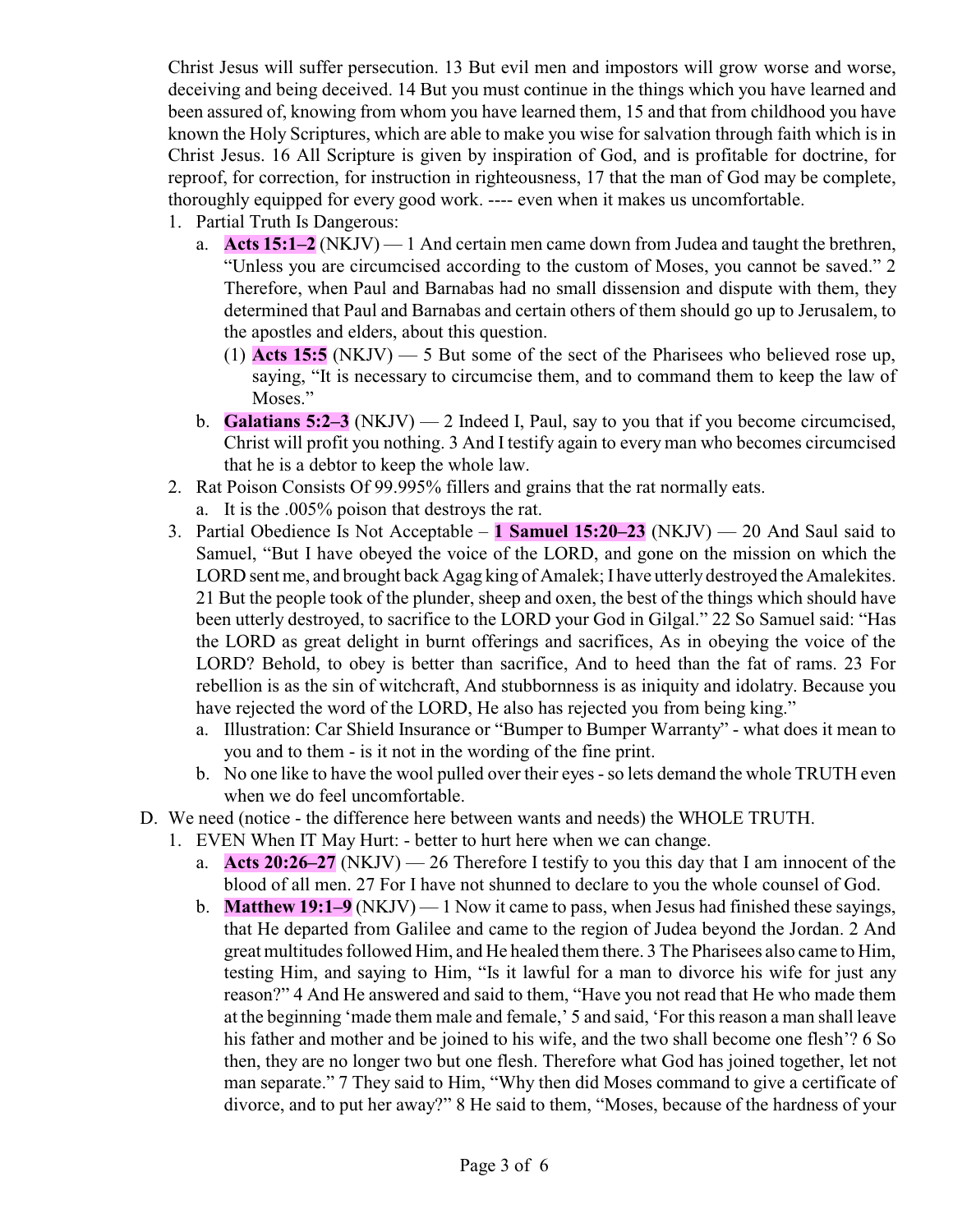Christ Jesus will suffer persecution. 13 But evil men and impostors will grow worse and worse, deceiving and being deceived. 14 But you must continue in the things which you have learned and been assured of, knowing from whom you have learned them, 15 and that from childhood you have known the Holy Scriptures, which are able to make you wise for salvation through faith which is in Christ Jesus. 16 All Scripture is given by inspiration of God, and is profitable for doctrine, for reproof, for correction, for instruction in righteousness, 17 that the man of God may be complete, thoroughly equipped for every good work. ---- even when it makes us uncomfortable.

- 1. Partial Truth Is Dangerous:
	- a. **Acts 15:1–2** (NKJV) 1 And certain men came down from Judea and taught the brethren, "Unless you are circumcised according to the custom of Moses, you cannot be saved." 2 Therefore, when Paul and Barnabas had no small dissension and dispute with them, they determined that Paul and Barnabas and certain others of them should go up to Jerusalem, to the apostles and elders, about this question.
		- (1) **Acts 15:5** (NKJV) 5 But some of the sect of the Pharisees who believed rose up, saying, "It is necessary to circumcise them, and to command them to keep the law of Moses."
	- b. **Galatians 5:2–3** (NKJV) 2 Indeed I, Paul, say to you that if you become circumcised, Christ will profit you nothing. 3 And I testify again to every man who becomes circumcised that he is a debtor to keep the whole law.
- 2. Rat Poison Consists Of 99.995% fillers and grains that the rat normally eats.
	- a. It is the .005% poison that destroys the rat.
- 3. Partial Obedience Is Not Acceptable **1 Samuel 15:20–23** (NKJV) 20 And Saul said to Samuel, "But I have obeyed the voice of the LORD, and gone on the mission on which the LORD sent me, and brought back Agag king of Amalek; I have utterly destroyed the Amalekites. 21 But the people took of the plunder, sheep and oxen, the best of the things which should have been utterly destroyed, to sacrifice to the LORD your God in Gilgal." 22 So Samuel said: "Has the LORD as great delight in burnt offerings and sacrifices, As in obeying the voice of the LORD? Behold, to obey is better than sacrifice, And to heed than the fat of rams. 23 For rebellion is as the sin of witchcraft, And stubbornness is as iniquity and idolatry. Because you have rejected the word of the LORD, He also has rejected you from being king."
	- a. Illustration: Car Shield Insurance or "Bumper to Bumper Warranty" what does it mean to you and to them - is it not in the wording of the fine print.
	- b. No one like to have the wool pulled over their eyes -so lets demand the whole TRUTH even when we do feel uncomfortable.
- D. We need (notice the difference here between wants and needs) the WHOLE TRUTH.
	- 1. EVEN When IT May Hurt: better to hurt here when we can change.
		- a. **Acts 20:26–27** (NKJV) 26 Therefore I testify to you this day that I am innocent of the blood of all men. 27 For I have not shunned to declare to you the whole counsel of God.
		- b. **Matthew 19:1–9** (NKJV) 1 Now it came to pass, when Jesus had finished these sayings, that He departed from Galilee and came to the region of Judea beyond the Jordan. 2 And great multitudes followed Him, and He healed them there. 3 The Pharisees also came to Him, testing Him, and saying to Him, "Is it lawful for a man to divorce his wife for just any reason?" 4 And He answered and said to them, "Have you not read that He who made them at the beginning 'made them male and female,' 5 and said, 'For this reason a man shall leave his father and mother and be joined to his wife, and the two shall become one flesh'? 6 So then, they are no longer two but one flesh. Therefore what God has joined together, let not man separate." 7 They said to Him, "Why then did Moses command to give a certificate of divorce, and to put her away?" 8 He said to them, "Moses, because of the hardness of your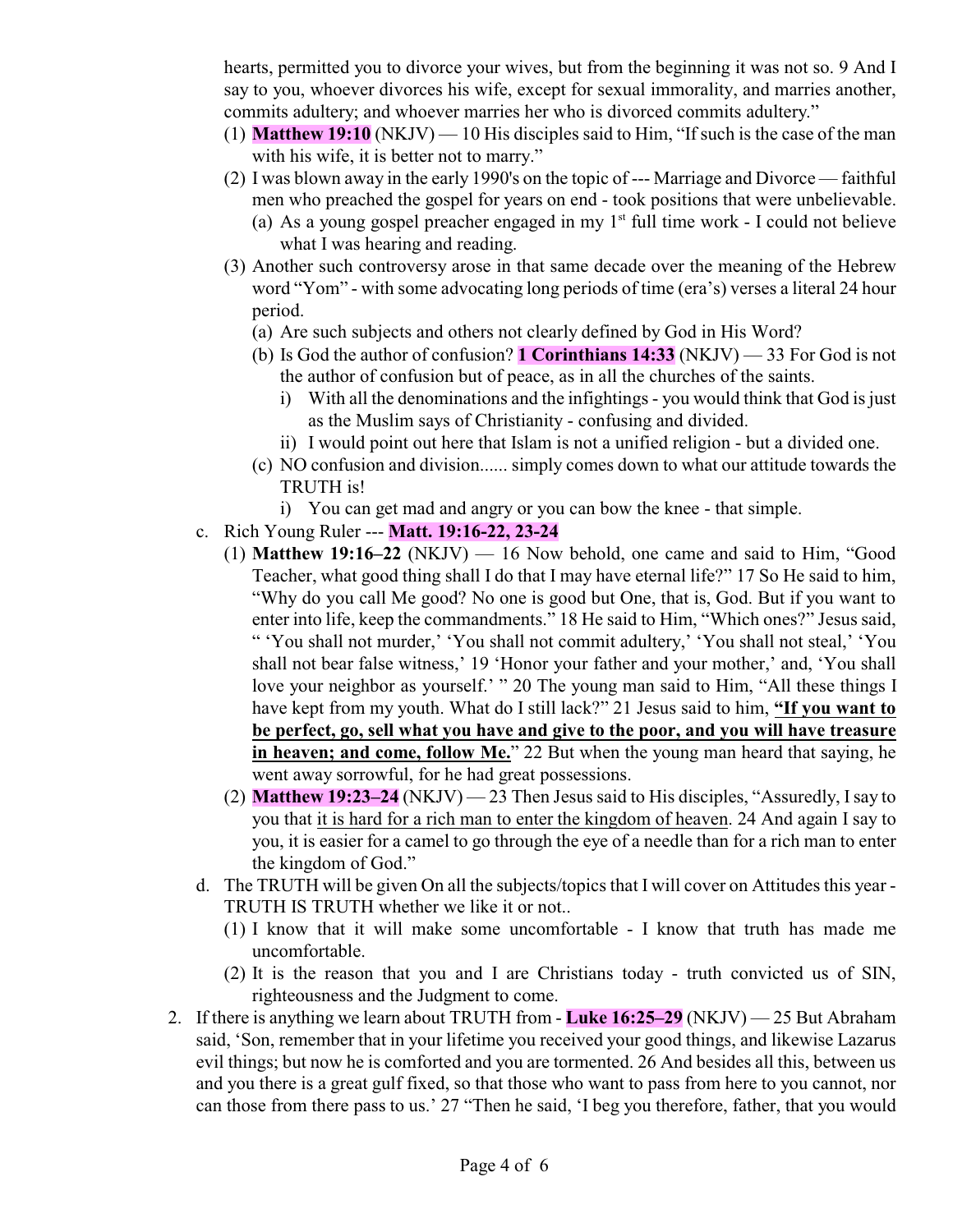hearts, permitted you to divorce your wives, but from the beginning it was not so. 9 And I say to you, whoever divorces his wife, except for sexual immorality, and marries another, commits adultery; and whoever marries her who is divorced commits adultery."

- (1) **Matthew 19:10** (NKJV) 10 His disciples said to Him, "If such is the case of the man with his wife, it is better not to marry."
- (2) I was blown away in the early 1990's on the topic of --- Marriage and Divorce faithful men who preached the gospel for years on end - took positions that were unbelievable.
	- (a) As a young gospel preacher engaged in my  $1<sup>st</sup>$  full time work I could not believe what I was hearing and reading.
- (3) Another such controversy arose in that same decade over the meaning of the Hebrew word "Yom" - with some advocating long periods of time (era's) verses a literal 24 hour period.
	- (a) Are such subjects and others not clearly defined by God in His Word?
	- (b) Is God the author of confusion? **1 Corinthians 14:33** (NKJV) 33 For God is not the author of confusion but of peace, as in all the churches of the saints.
		- i) With all the denominations and the infightings you would think that God is just as the Muslim says of Christianity - confusing and divided.
		- ii) I would point out here that Islam is not a unified religion but a divided one.
	- (c) NO confusion and division...... simply comes down to what our attitude towards the TRUTH is!
		- i) You can get mad and angry or you can bow the knee that simple.
- c. Rich Young Ruler --- **Matt. 19:16-22, 23-24**
	- (1) **Matthew 19:16–22** (NKJV) 16 Now behold, one came and said to Him, "Good Teacher, what good thing shall I do that I may have eternal life?" 17 So He said to him, "Why do you call Me good? No one is good but One, that is, God. But if you want to enter into life, keep the commandments." 18 He said to Him, "Which ones?" Jesus said, " 'You shall not murder,' 'You shall not commit adultery,' 'You shall not steal,' 'You shall not bear false witness,' 19 'Honor your father and your mother,' and, 'You shall love your neighbor as yourself.' " 20 The young man said to Him, "All these things I have kept from my youth. What do I still lack?" 21 Jesus said to him, **"If you want to be perfect, go, sell what you have and give to the poor, and you will have treasure in heaven; and come, follow Me.**" 22 But when the young man heard that saying, he went away sorrowful, for he had great possessions.
	- (2) **Matthew 19:23–24** (NKJV) 23 Then Jesus said to His disciples, "Assuredly, Isay to you that it is hard for a rich man to enter the kingdom of heaven. 24 And again I say to you, it is easier for a camel to go through the eye of a needle than for a rich man to enter the kingdom of God."
- d. The TRUTH will be given On all the subjects/topics that I will cover on Attitudes this year TRUTH IS TRUTH whether we like it or not..
	- (1) I know that it will make some uncomfortable I know that truth has made me uncomfortable.
	- (2) It is the reason that you and I are Christians today truth convicted us of SIN, righteousness and the Judgment to come.
- 2. If there is anything we learn about TRUTH from **Luke 16:25–29** (NKJV) 25 But Abraham said, 'Son, remember that in your lifetime you received your good things, and likewise Lazarus evil things; but now he is comforted and you are tormented. 26 And besides all this, between us and you there is a great gulf fixed, so that those who want to pass from here to you cannot, nor can those from there pass to us.' 27 "Then he said, 'I beg you therefore, father, that you would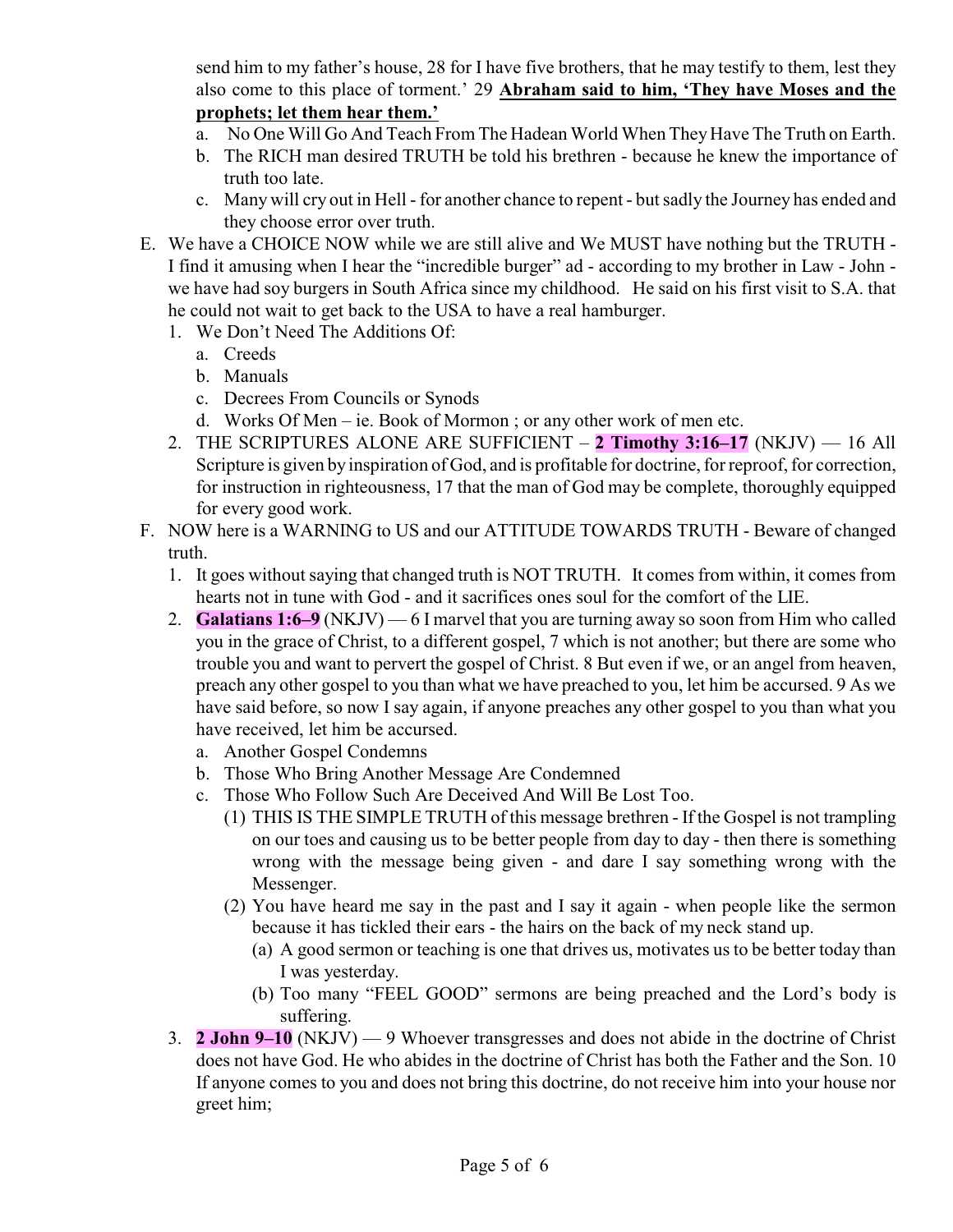send him to my father's house, 28 for I have five brothers, that he may testify to them, lest they also come to this place of torment.' 29 **Abraham said to him, 'They have Moses and the prophets; let them hear them.'**

- a. No One Will Go And Teach From The Hadean World When They Have The Truth on Earth.
- b. The RICH man desired TRUTH be told his brethren because he knew the importance of truth too late.
- c. Many will cry out in Hell for another chance to repent but sadly the Journey has ended and they choose error over truth.
- E. We have a CHOICE NOW while we are still alive and We MUST have nothing but the TRUTH I find it amusing when I hear the "incredible burger" ad - according to my brother in Law - John we have had soy burgers in South Africa since my childhood. He said on his first visit to S.A. that he could not wait to get back to the USA to have a real hamburger.
	- 1. We Don't Need The Additions Of:
		- a. Creeds
		- b. Manuals
		- c. Decrees From Councils or Synods
		- d. Works Of Men ie. Book of Mormon ; or any other work of men etc.
	- 2. THE SCRIPTURES ALONE ARE SUFFICIENT **2 Timothy 3:16–17** (NKJV) 16 All Scripture is given by inspiration of God, and is profitable for doctrine, for reproof, for correction, for instruction in righteousness, 17 that the man of God may be complete, thoroughly equipped for every good work.
- F. NOW here is a WARNING to US and our ATTITUDE TOWARDS TRUTH Beware of changed truth.
	- 1. It goes without saying that changed truth is NOT TRUTH. It comes from within, it comes from hearts not in tune with God - and it sacrifices ones soul for the comfort of the LIE.
	- 2. **Galatians 1:6–9** (NKJV) 6 I marvel that you are turning away so soon from Him who called you in the grace of Christ, to a different gospel, 7 which is not another; but there are some who trouble you and want to pervert the gospel of Christ. 8 But even if we, or an angel from heaven, preach any other gospel to you than what we have preached to you, let him be accursed. 9 As we have said before, so now I say again, if anyone preaches any other gospel to you than what you have received, let him be accursed.
		- a. Another Gospel Condemns
		- b. Those Who Bring Another Message Are Condemned
		- c. Those Who Follow Such Are Deceived And Will Be Lost Too.
			- (1) THIS IS THE SIMPLE TRUTH of this message brethren If the Gospel is not trampling on our toes and causing us to be better people from day to day - then there is something wrong with the message being given - and dare I say something wrong with the Messenger.
			- (2) You have heard me say in the past and I say it again when people like the sermon because it has tickled their ears - the hairs on the back of my neck stand up.
				- (a) A good sermon or teaching is one that drives us, motivates us to be better today than I was yesterday.
				- (b) Too many "FEEL GOOD" sermons are being preached and the Lord's body is suffering.
	- 3. **2 John 9–10** (NKJV) 9 Whoever transgresses and does not abide in the doctrine of Christ does not have God. He who abides in the doctrine of Christ has both the Father and the Son. 10 If anyone comes to you and does not bring this doctrine, do not receive him into your house nor greet him;